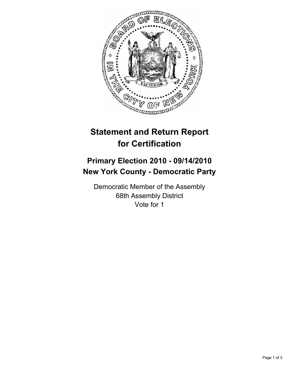

## **Statement and Return Report for Certification**

## **Primary Election 2010 - 09/14/2010 New York County - Democratic Party**

Democratic Member of the Assembly 68th Assembly District Vote for 1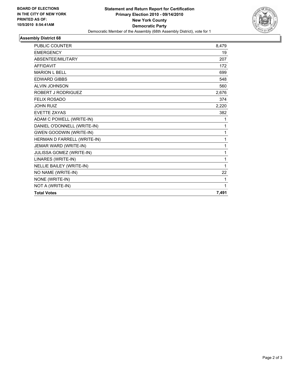

## **Assembly District 68**

| <b>PUBLIC COUNTER</b>          | 8,479        |
|--------------------------------|--------------|
| <b>EMERGENCY</b>               | 19           |
| ABSENTEE/MILITARY              | 207          |
| <b>AFFIDAVIT</b>               | 172          |
| <b>MARION L BELL</b>           | 699          |
| <b>EDWARD GIBBS</b>            | 548          |
| <b>ALVIN JOHNSON</b>           | 560          |
| ROBERT J RODRIGUEZ             | 2,676        |
| <b>FELIX ROSADO</b>            | 374          |
| <b>JOHN RUIZ</b>               | 2,220        |
| <b>EVETTE ZAYAS</b>            | 382          |
| ADAM C POWELL (WRITE-IN)       | 1            |
| DANIEL O'DONNELL (WRITE-IN)    | 1            |
| <b>GWEN GOODWIN (WRITE-IN)</b> | 1            |
| HERMAN D FARRELL (WRITE-IN)    | $\mathbf{1}$ |
| JEMAR WARD (WRITE-IN)          | 1            |
| JULISSA GOMEZ (WRITE-IN)       | 1            |
| LINARES (WRITE-IN)             | 1            |
| NELLIE BAILEY (WRITE-IN)       | 1            |
| NO NAME (WRITE-IN)             | 22           |
| NONE (WRITE-IN)                | 1            |
| NOT A (WRITE-IN)               | 1            |
| <b>Total Votes</b>             | 7,491        |